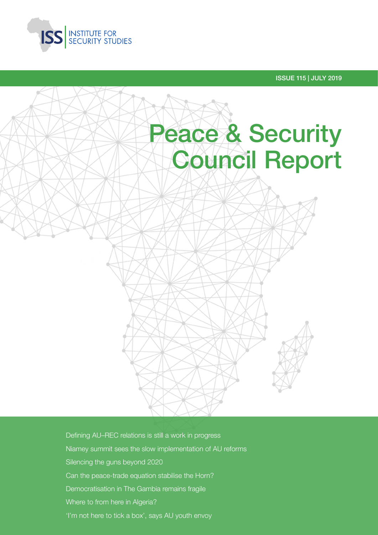

ISSUE 115 | JULY 2019



Defining AU–REC relations is still a work in progress Niamey summit sees the slow implementation of AU reforms Silencing the guns beyond 2020 Can the peace-trade equation stabilise the Horn? Democratisation in The Gambia remains fragile Where to from here in Algeria? 'I'm not here to tick a box', says AU youth envoy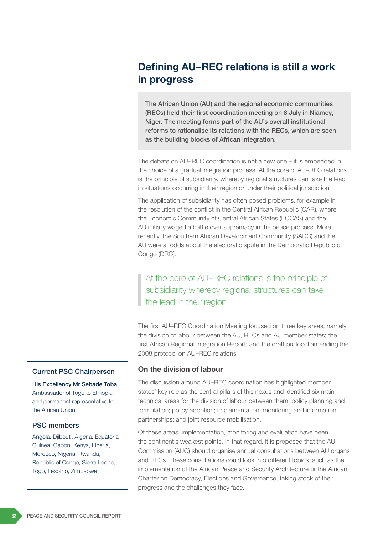# Defining AU–REC relations is still a work in progress

The African Union (AU) and the regional economic communities (RECs) held their first coordination meeting on 8 July in Niamey, Niger. The meeting forms part of the AU's overall institutional reforms to rationalise its relations with the RECs, which are seen as the building blocks of African integration.

The debate on AU–REC coordination is not a new one – it is embedded in the choice of a gradual integration process. At the core of AU–REC relations is the principle of subsidiarity, whereby regional structures can take the lead in situations occurring in their region or under their political jurisdiction.

The application of subsidiarity has often posed problems, for example in the resolution of the conflict in the Central African Republic (CAR), where the Economic Community of Central African States (ECCAS) and the AU initially waged a battle over supremacy in the peace process. More recently, the Southern African Development Community (SADC) and the AU were at odds about the electoral dispute in the Democratic Republic of Congo (DRC).

At the core of AU–REC relations is the principle of subsidiarity whereby regional structures can take the lead in their region

The first AU–REC Coordination Meeting focused on three key areas, namely the division of labour between the AU, RECs and AU member states; the first African Regional Integration Report; and the draft protocol amending the 2008 protocol on AU–REC relations.

### On the division of labour

The discussion around AU–REC coordination has highlighted member states' key role as the central pillars of this nexus and identified six main technical areas for the division of labour between them: policy planning and formulation; policy adoption; implementation; monitoring and information; partnerships; and joint resource mobilisation.

Of these areas, implementation, monitoring and evaluation have been the continent's weakest points. In that regard, it is proposed that the AU Commission (AUC) should organise annual consultations between AU organs and RECs. These consultations could look into different topics, such as the implementation of the African Peace and Security Architecture or the African Charter on Democracy, Elections and Governance, taking stock of their progress and the challenges they face.

### Current PSC Chairperson

His Excellency Mr Sebade Toba, Ambassador of Togo to Ethiopia and permanent representative to the African Union.

### PSC members

Angola, Djibouti, Algeria, Equatorial Guinea, Gabon, Kenya, Liberia, Morocco, Nigeria, Rwanda, Republic of Congo, Sierra Leone, Togo, Lesotho, Zimbabwe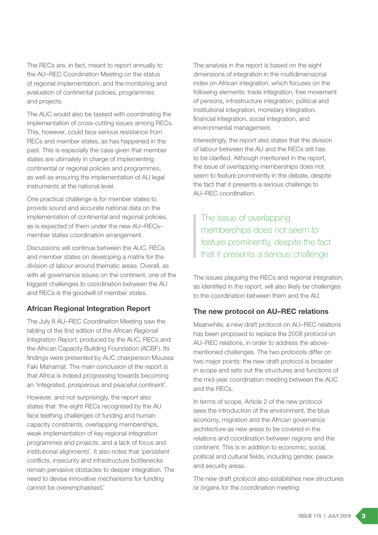The RECs are, in fact, meant to report annually to the AU–REC Coordination Meeting on the status of regional implementation, and the monitoring and evaluation of continental policies, programmes and projects.

The AUC would also be tasked with coordinating the implementation of cross-cutting issues among RECs. This, however, could face serious resistance from RECs and member states, as has happened in the past. This is especially the case given that member states are ultimately in charge of implementing continental or regional policies and programmes, as well as ensuring the implementation of AU legal instruments at the national level.

One practical challenge is for member states to provide sound and accurate national data on the implementation of continental and regional policies, as is expected of them under the new AU–RECs– member states coordination arrangement.

Discussions will continue between the AUC, RECs and member states on developing a matrix for the division of labour around thematic areas. Overall, as with all governance issues on the continent, one of the biggest challenges to coordination between the AU and RECs is the goodwill of member states.

### African Regional Integration Report

The July 8 AU–REC Coordination Meeting saw the tabling of the first edition of the *African Regional Integration Report*, produced by the AUC, RECs and the African Capacity Building Foundation (ACBF). Its findings were presented by AUC chairperson Moussa Faki Mahamat. The main conclusion of the report is that Africa is indeed progressing towards becoming an 'integrated, prosperous and peaceful continent'.

However, and not surprisingly, the report also states that 'the eight RECs recognised by the AU face teething challenges of funding and human capacity constraints, overlapping memberships, weak implementation of key regional integration programmes and projects, and a lack of focus and institutional alignments'. It also notes that 'persistent conflicts, insecurity and infrastructure bottlenecks remain pervasive obstacles to deeper integration. The need to devise innovative mechanisms for funding cannot be overemphasised.'

The analysis in the report is based on the eight dimensions of integration in the multidimensional index on African integration, which focuses on the following elements: trade integration, free movement of persons, infrastructure integration, political and institutional integration, monetary integration, financial integration, social integration, and environmental management.

Interestingly, the report also states that the division of labour between the AU and the RECs still has to be clarified. Although mentioned in the report, the issue of overlapping memberships does not seem to feature prominently in the debate, despite the fact that it presents a serious challenge to AU–REC coordination.

The issue of overlapping memberships does not seem to feature prominently, despite the fact that it presents a serious challenge

The issues plaguing the RECs and regional integration, as identified in the report, will also likely be challenges to the coordination between them and the AU.

### The new protocol on AU–REC relations

Meanwhile, a new draft protocol on AU–REC relations has been proposed to replace the 2008 protocol on AU–REC relations, in order to address the abovementioned challenges. The two protocols differ on two major points: the new draft protocol is broader in scope and sets out the structures and functions of the mid-year coordination meeting between the AUC and the RECs.

In terms of scope, Article 2 of the new protocol sees the introduction of the environment, the blue economy, migration and the African governance architecture as new areas to be covered in the relations and coordination between regions and the continent. This is in addition to economic, social, political and cultural fields, including gender, peace and security areas.

The new draft protocol also establishes new structures or organs for the coordination meeting: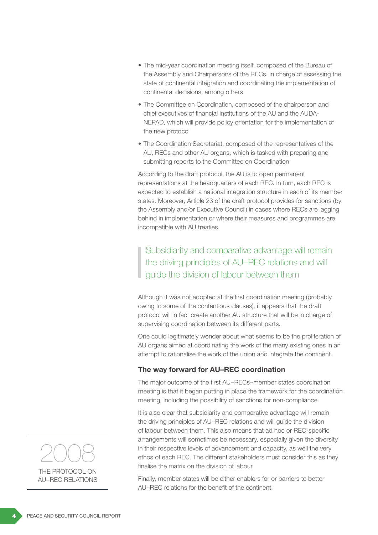- The mid-year coordination meeting itself, composed of the Bureau of the Assembly and Chairpersons of the RECs, in charge of assessing the state of continental integration and coordinating the implementation of continental decisions, among others
- The Committee on Coordination, composed of the chairperson and chief executives of financial institutions of the AU and the AUDA-NEPAD, which will provide policy orientation for the implementation of the new protocol
- The Coordination Secretariat, composed of the representatives of the AU, RECs and other AU organs, which is tasked with preparing and submitting reports to the Committee on Coordination

According to the draft protocol, the AU is to open permanent representations at the headquarters of each REC. In turn, each REC is expected to establish a national integration structure in each of its member states. Moreover, Article 23 of the draft protocol provides for sanctions (by the Assembly and/or Executive Council) in cases where RECs are lagging behind in implementation or where their measures and programmes are incompatible with AU treaties.

Subsidiarity and comparative advantage will remain the driving principles of AU–REC relations and will guide the division of labour between them

Although it was not adopted at the first coordination meeting (probably owing to some of the contentious clauses), it appears that the draft protocol will in fact create another AU structure that will be in charge of supervising coordination between its different parts.

One could legitimately wonder about what seems to be the proliferation of AU organs aimed at coordinating the work of the many existing ones in an attempt to rationalise the work of the union and integrate the continent.

# The way forward for AU–REC coordination

The major outcome of the first AU–RECs–member states coordination meeting is that it began putting in place the framework for the coordination meeting, including the possibility of sanctions for non-compliance.

It is also clear that subsidiarity and comparative advantage will remain the driving principles of AU–REC relations and will guide the division of labour between them. This also means that ad hoc or REC-specific arrangements will sometimes be necessary, especially given the diversity in their respective levels of advancement and capacity, as well the very ethos of each REC. The different stakeholders must consider this as they finalise the matrix on the division of labour.

Finally, member states will be either enablers for or barriers to better AU–REC relations for the benefit of the continent.

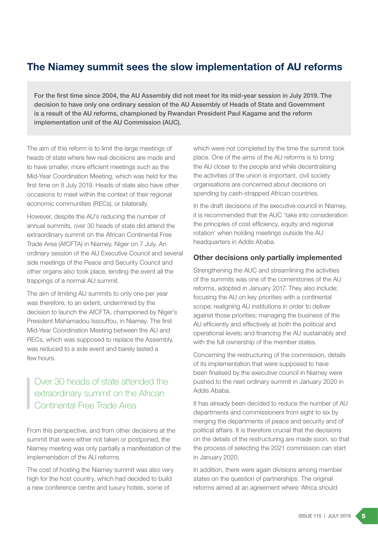# The Niamey summit sees the slow implementation of AU reforms

For the first time since 2004, the AU Assembly did not meet for its mid-year session in July 2019. The decision to have only one ordinary session of the AU Assembly of Heads of State and Government is a result of the AU reforms, championed by Rwandan President Paul Kagame and the reform implementation unit of the AU Commission (AUC).

The aim of this reform is to limit the large meetings of heads of state where few real decisions are made and to have smaller, more efficient meetings such as the Mid-Year Coordination Meeting, which was held for the first time on 8 July 2019. Heads of state also have other occasions to meet within the context of their regional economic communities (RECs), or bilaterally.

However, despite the AU's reducing the number of annual summits, over 30 heads of state did attend the extraordinary summit on the African Continental Free Trade Area (AfCFTA) in Niamey, Niger on 7 July. An ordinary session of the AU Executive Council and several side meetings of the Peace and Security Council and other organs also took place, lending the event all the trappings of a normal AU summit.

The aim of limiting AU summits to only one per year was therefore, to an extent, undermined by the decision to launch the AfCFTA, championed by Niger's President Mahamadou Issouffou, in Niamey. The first Mid-Year Coordination Meeting between the AU and RECs, which was supposed to replace the Assembly, was reduced to a side event and barely lasted a few hours.

Over 30 heads of state attended the extraordinary summit on the African Continental Free Trade Area

From this perspective, and from other decisions at the summit that were either not taken or postponed, the Niamey meeting was only partially a manifestation of the implementation of the AU reforms.

The cost of hosting the Niamey summit was also very high for the host country, which had decided to build a new conference centre and luxury hotels, some of

which were not completed by the time the summit took place. One of the aims of the AU reforms is to bring the AU closer to the people and while decentralising the activities of the union is important, civil society organisations are concerned about decisions on spending by cash-strapped African countries.

In the draft decisions of the executive council in Niamey, it is recommended that the AUC 'take into consideration the principles of cost efficiency, equity and regional rotation' when holding meetings outside the AU headquarters in Addis Ababa.

### Other decisions only partially implemented

Strengthening the AUC and streamlining the activities of the summits was one of the cornerstones of the AU reforms, adopted in January 2017. They also include: focusing the AU on key priorities with a continental scope; realigning AU institutions in order to deliver against those priorities; managing the business of the AU efficiently and effectively at both the political and operational levels; and financing the AU sustainably and with the full ownership of the member states.

Concerning the restructuring of the commission, details of its implementation that were supposed to have been finalised by the executive council in Niamey were pushed to the next ordinary summit in January 2020 in Addis Ababa.

It has already been decided to reduce the number of AU departments and commissioners from eight to six by merging the departments of peace and security and of political affairs. It is therefore crucial that the decisions on the details of the restructuring are made soon, so that the process of selecting the 2021 commission can start in January 2020.

In addition, there were again divisions among member states on the question of partnerships. The original reforms aimed at an agreement where 'Africa should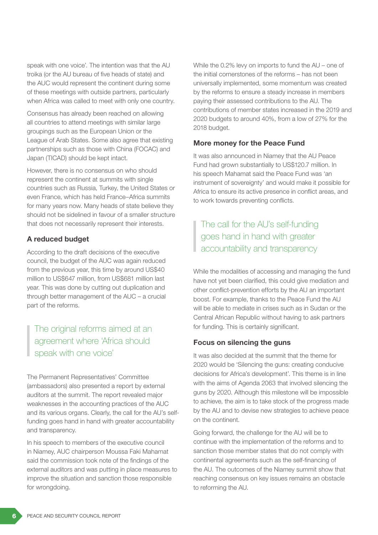speak with one voice'. The intention was that the AU troika (or the AU bureau of five heads of state) and the AUC would represent the continent during some of these meetings with outside partners, particularly when Africa was called to meet with only one country.

Consensus has already been reached on allowing all countries to attend meetings with similar large groupings such as the European Union or the League of Arab States. Some also agree that existing partnerships such as those with China (FOCAC) and Japan (TICAD) should be kept intact.

However, there is no consensus on who should represent the continent at summits with single countries such as Russia, Turkey, the United States or even France, which has held France–Africa summits for many years now. Many heads of state believe they should not be sidelined in favour of a smaller structure that does not necessarily represent their interests.

# A reduced budget

According to the draft decisions of the executive council, the budget of the AUC was again reduced from the previous year, this time by around US\$40 million to US\$647 million, from US\$681 million last year. This was done by cutting out duplication and through better management of the AUC – a crucial part of the reforms.

# The original reforms aimed at an agreement where 'Africa should speak with one voice'

The Permanent Representatives' Committee (ambassadors) also presented a report by external auditors at the summit. The report revealed major weaknesses in the accounting practices of the AUC and its various organs. Clearly, the call for the AU's selffunding goes hand in hand with greater accountability and transparency.

In his speech to members of the executive council in Niamey, AUC chairperson Moussa Faki Mahamat said the commission took note of the findings of the external auditors and was putting in place measures to improve the situation and sanction those responsible for wrongdoing.

While the 0.2% levy on imports to fund the AU – one of the initial cornerstones of the reforms – has not been universally implemented, some momentum was created by the reforms to ensure a steady increase in members paying their assessed contributions to the AU. The contributions of member states increased in the 2019 and 2020 budgets to around 40%, from a low of 27% for the 2018 budget.

# More money for the Peace Fund

It was also announced in Niamey that the AU Peace Fund had grown substantially to US\$120.7 million. In his speech Mahamat said the Peace Fund was 'an instrument of sovereignty' and would make it possible for Africa to ensure its active presence in conflict areas, and to work towards preventing conflicts.

The call for the AU's self-funding goes hand in hand with greater accountability and transparency

While the modalities of accessing and managing the fund have not yet been clarified, this could give mediation and other conflict-prevention efforts by the AU an important boost. For example, thanks to the Peace Fund the AU will be able to mediate in crises such as in Sudan or the Central African Republic without having to ask partners for funding. This is certainly significant.

# Focus on silencing the guns

It was also decided at the summit that the theme for 2020 would be 'Silencing the guns: creating conducive decisions for Africa's development'. This theme is in line with the aims of Agenda 2063 that involved silencing the guns by 2020. Although this milestone will be impossible to achieve, the aim is to take stock of the progress made by the AU and to devise new strategies to achieve peace on the continent.

Going forward, the challenge for the AU will be to continue with the implementation of the reforms and to sanction those member states that do not comply with continental agreements such as the self-financing of the AU. The outcomes of the Niamey summit show that reaching consensus on key issues remains an obstacle to reforming the AU.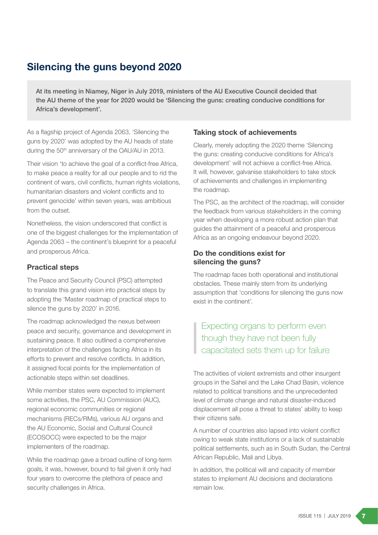# Silencing the guns beyond 2020

At its meeting in Niamey, Niger in July 2019, ministers of the AU Executive Council decided that the AU theme of the year for 2020 would be 'Silencing the guns: creating conducive conditions for Africa's development'.

As a flagship project of Agenda 2063, 'Silencing the guns by 2020' was adopted by the AU heads of state during the 50<sup>th</sup> anniversary of the OAU/AU in 2013.

Their vision 'to achieve the goal of a conflict-free Africa, to make peace a reality for all our people and to rid the continent of wars, civil conflicts, human rights violations, humanitarian disasters and violent conflicts and to prevent genocide' within seven years, was ambitious from the outset.

Nonetheless, the vision underscored that conflict is one of the biggest challenges for the implementation of Agenda 2063 – the continent's blueprint for a peaceful and prosperous Africa.

### Practical steps

The Peace and Security Council (PSC) attempted to translate this grand vision into practical steps by adopting the 'Master roadmap of practical steps to silence the guns by 2020' in 2016.

The roadmap acknowledged the nexus between peace and security, governance and development in sustaining peace. It also outlined a comprehensive interpretation of the challenges facing Africa in its efforts to prevent and resolve conflicts. In addition, it assigned focal points for the implementation of actionable steps within set deadlines.

While member states were expected to implement some activities, the PSC, AU Commission (AUC), regional economic communities or regional mechanisms (RECs/RMs), various AU organs and the AU Economic, Social and Cultural Council (ECOSOCC) were expected to be the major implementers of the roadmap.

While the roadmap gave a broad outline of long-term goals, it was, however, bound to fail given it only had four years to overcome the plethora of peace and security challenges in Africa.

## Taking stock of achievements

Clearly, merely adopting the 2020 theme 'Silencing the guns: creating conducive conditions for Africa's development' will not achieve a conflict-free Africa. It will, however, galvanise stakeholders to take stock of achievements and challenges in implementing the roadmap.

The PSC, as the architect of the roadmap, will consider the feedback from various stakeholders in the coming year when developing a more robust action plan that guides the attainment of a peaceful and prosperous Africa as an ongoing endeavour beyond 2020.

## Do the conditions exist for silencing the guns?

The roadmap faces both operational and institutional obstacles. These mainly stem from its underlying assumption that 'conditions for silencing the guns now exist in the continent'.

# Expecting organs to perform even though they have not been fully capacitated sets them up for failure

The activities of violent extremists and other insurgent groups in the Sahel and the Lake Chad Basin, violence related to political transitions and the unprecedented level of climate change and natural disaster-induced displacement all pose a threat to states' ability to keep their citizens safe.

A number of countries also lapsed into violent conflict owing to weak state institutions or a lack of sustainable political settlements, such as in South Sudan, the Central African Republic, Mali and Libya.

In addition, the political will and capacity of member states to implement AU decisions and declarations remain low.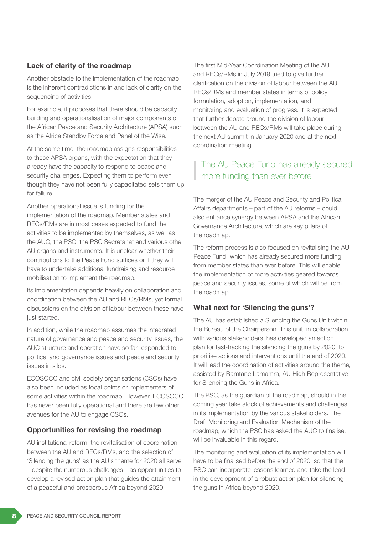# Lack of clarity of the roadmap

Another obstacle to the implementation of the roadmap is the inherent contradictions in and lack of clarity on the sequencing of activities.

For example, it proposes that there should be capacity building and operationalisation of major components of the African Peace and Security Architecture (APSA) such as the Africa Standby Force and Panel of the Wise.

At the same time, the roadmap assigns responsibilities to these APSA organs, with the expectation that they already have the capacity to respond to peace and security challenges. Expecting them to perform even though they have not been fully capacitated sets them up for failure.

Another operational issue is funding for the implementation of the roadmap. Member states and RECs/RMs are in most cases expected to fund the activities to be implemented by themselves, as well as the AUC, the PSC, the PSC Secretariat and various other AU organs and instruments. It is unclear whether their contributions to the Peace Fund suffices or if they will have to undertake additional fundraising and resource mobilisation to implement the roadmap.

Its implementation depends heavily on collaboration and coordination between the AU and RECs/RMs, yet formal discussions on the division of labour between these have just started.

In addition, while the roadmap assumes the integrated nature of governance and peace and security issues, the AUC structure and operation have so far responded to political and governance issues and peace and security issues in silos.

ECOSOCC and civil society organisations (CSOs) have also been included as focal points or implementers of some activities within the roadmap. However, ECOSOCC has never been fully operational and there are few other avenues for the AU to engage CSOs.

# Opportunities for revising the roadmap

AU institutional reform, the revitalisation of coordination between the AU and RECs/RMs, and the selection of 'Silencing the guns' as the AU's theme for 2020 all serve – despite the numerous challenges – as opportunities to develop a revised action plan that guides the attainment of a peaceful and prosperous Africa beyond 2020.

The first Mid-Year Coordination Meeting of the AU and RECs/RMs in July 2019 tried to give further clarification on the division of labour between the AU, RECs/RMs and member states in terms of policy formulation, adoption, implementation, and monitoring and evaluation of progress. It is expected that further debate around the division of labour between the AU and RECs/RMs will take place during the next AU summit in January 2020 and at the next coordination meeting.

# The AU Peace Fund has already secured more funding than ever before

The merger of the AU Peace and Security and Political Affairs departments – part of the AU reforms – could also enhance synergy between APSA and the African Governance Architecture, which are key pillars of the roadmap.

The reform process is also focused on revitalising the AU Peace Fund, which has already secured more funding from member states than ever before. This will enable the implementation of more activities geared towards peace and security issues, some of which will be from the roadmap.

### What next for 'Silencing the guns'?

The AU has established a Silencing the Guns Unit within the Bureau of the Chairperson. This unit, in collaboration with various stakeholders, has developed an action plan for fast-tracking the silencing the guns by 2020, to prioritise actions and interventions until the end of 2020. It will lead the coordination of activities around the theme, assisted by Ramtane Lamamra, AU High Representative for Silencing the Guns in Africa.

The PSC, as the guardian of the roadmap, should in the coming year take stock of achievements and challenges in its implementation by the various stakeholders. The Draft Monitoring and Evaluation Mechanism of the roadmap, which the PSC has asked the AUC to finalise, will be invaluable in this regard.

The monitoring and evaluation of its implementation will have to be finalised before the end of 2020, so that the PSC can incorporate lessons learned and take the lead in the development of a robust action plan for silencing the guns in Africa beyond 2020.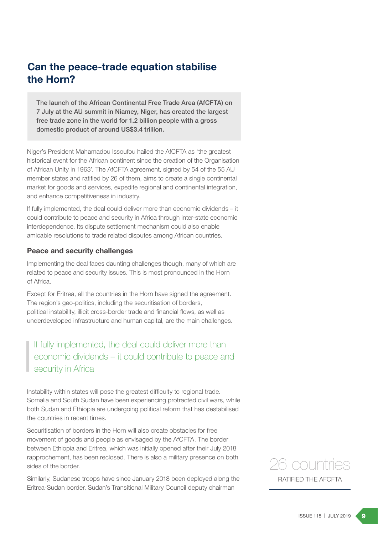# Can the peace-trade equation stabilise the Horn?

The launch of the African Continental Free Trade Area (AfCFTA) on 7 July at the AU summit in Niamey, Niger, has created the largest free trade zone in the world for 1.2 billion people with a gross domestic product of around US\$3.4 trillion.

Niger's President Mahamadou Issoufou hailed the AfCFTA as 'the greatest historical event for the African continent since the creation of the Organisation of African Unity in 1963'. The AfCFTA agreement, signed by 54 of the 55 AU member states and ratified by 26 of them, aims to create a single continental market for goods and services, expedite regional and continental integration, and enhance competitiveness in industry.

If fully implemented, the deal could deliver more than economic dividends – it could contribute to peace and security in Africa through inter-state economic interdependence. Its dispute settlement mechanism could also enable amicable resolutions to trade related disputes among African countries.

### Peace and security challenges

Implementing the deal faces daunting challenges though, many of which are related to peace and security issues. This is most pronounced in the Horn of Africa.

Except for Eritrea, all the countries in the Horn have signed the agreement. The region's geo-politics, including the securitisation of borders, political instability, illicit cross-border trade and financial flows, as well as underdeveloped infrastructure and human capital, are the main challenges.

If fully implemented, the deal could deliver more than economic dividends – it could contribute to peace and security in Africa

Instability within states will pose the greatest difficulty to regional trade. Somalia and South Sudan have been experiencing protracted civil wars, while both Sudan and Ethiopia are undergoing political reform that has destabilised the countries in recent times.

Securitisation of borders in the Horn will also create obstacles for free movement of goods and people as envisaged by the AfCFTA. The border between Ethiopia and Eritrea, which was initially opened after their July 2018 rapprochement, has been reclosed. There is also a military presence on both sides of the border.

Similarly, Sudanese troops have since January 2018 been deployed along the Eritrea-Sudan border. Sudan's Transitional Military Council deputy chairman

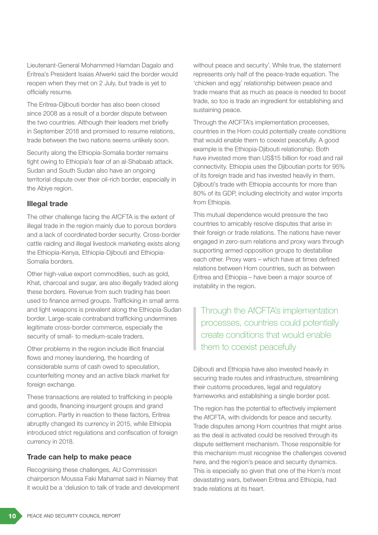Lieutenant-General Mohammed Hamdan Dagalo and Eritrea's President Isaias Afwerki said the border would reopen when they met on 2 July, but trade is yet to officially resume.

The Eritrea-Djibouti border has also been closed since 2008 as a result of a border dispute between the two countries. Although their leaders met briefly in September 2018 and promised to resume relations, trade between the two nations seems unlikely soon.

Security along the Ethiopia-Somalia border remains tight owing to Ethiopia's fear of an al-Shabaab attack. Sudan and South Sudan also have an ongoing territorial dispute over their oil-rich border, especially in the Abiye region.

### Illegal trade

The other challenge facing the AfCFTA is the extent of illegal trade in the region mainly due to porous borders and a lack of coordinated border security. Cross-border cattle raiding and illegal livestock marketing exists along the Ethiopia-Kenya, Ethiopia-Djibouti and Ethiopia-Somalia borders.

Other high-value export commodities, such as gold, Khat, charcoal and sugar, are also illegally traded along these borders. Revenue from such trading has been used to finance armed groups. Trafficking in small arms and light weapons is prevalent along the Ethiopia-Sudan border. Large-scale contraband trafficking undermines legitimate cross-border commerce, especially the security of small- to medium-scale traders.

Other problems in the region include illicit financial flows and money laundering, the hoarding of considerable sums of cash owed to speculation, counterfeiting money and an active black market for foreign exchange.

These transactions are related to trafficking in people and goods, financing insurgent groups and grand corruption. Partly in reaction to these factors, Eritrea abruptly changed its currency in 2015, while Ethiopia introduced strict regulations and confiscation of foreign currency in 2018.

### Trade can help to make peace

Recognising these challenges, AU Commission chairperson Moussa Faki Mahamat said in Niamey that it would be a 'delusion to talk of trade and development without peace and security'. While true, the statement represents only half of the peace-trade equation. The 'chicken and egg' relationship between peace and trade means that as much as peace is needed to boost trade, so too is trade an ingredient for establishing and sustaining peace.

Through the AfCFTA's implementation processes, countries in the Horn could potentially create conditions that would enable them to coexist peacefully. A good example is the Ethiopia-Djibouti relationship. Both have invested more than US\$15 billion for road and rail connectivity. Ethiopia uses the Djiboutian ports for 95% of its foreign trade and has invested heavily in them. Djibouti's trade with Ethiopia accounts for more than 80% of its GDP, including electricity and water imports from Ethiopia.

This mutual dependence would pressure the two countries to amicably resolve disputes that arise in their foreign or trade relations. The nations have never engaged in zero-sum relations and proxy wars through supporting armed opposition groups to destabilise each other. Proxy wars – which have at times defined relations between Horn countries, such as between Eritrea and Ethiopia – have been a major source of instability in the region.

Through the AfCFTA's implementation processes, countries could potentially create conditions that would enable them to coexist peacefully

Djibouti and Ethiopia have also invested heavily in securing trade routes and infrastructure, streamlining their customs procedures, legal and regulatory frameworks and establishing a single border post.

The region has the potential to effectively implement the AfCFTA, with dividends for peace and security. Trade disputes among Horn countries that might arise as the deal is activated could be resolved through its dispute settlement mechanism. Those responsible for this mechanism must recognise the challenges covered here, and the region's peace and security dynamics. This is especially so given that one of the Horn's most devastating wars, between Eritrea and Ethiopia, had trade relations at its heart.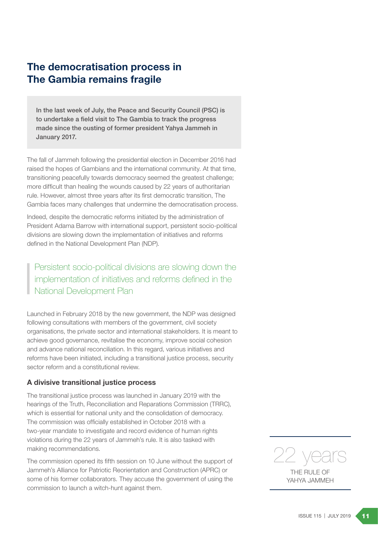# The democratisation process in The Gambia remains fragile

In the last week of July, the Peace and Security Council (PSC) is to undertake a field visit to The Gambia to track the progress made since the ousting of former president Yahya Jammeh in January 2017.

The fall of Jammeh following the presidential election in December 2016 had raised the hopes of Gambians and the international community. At that time, transitioning peacefully towards democracy seemed the greatest challenge; more difficult than healing the wounds caused by 22 years of authoritarian rule. However, almost three years after its first democratic transition, The Gambia faces many challenges that undermine the democratisation process.

Indeed, despite the democratic reforms initiated by the administration of President Adama Barrow with international support, persistent socio-political divisions are slowing down the implementation of initiatives and reforms defined in the National Development Plan (NDP).

Persistent socio-political divisions are slowing down the implementation of initiatives and reforms defined in the National Development Plan

Launched in February 2018 by the new government, the NDP was designed following consultations with members of the government, civil society organisations, the private sector and international stakeholders. It is meant to achieve good governance, revitalise the economy, improve social cohesion and advance national reconciliation. In this regard, various initiatives and reforms have been initiated, including a transitional justice process, security sector reform and a constitutional review.

### A divisive transitional justice process

The transitional justice process was launched in January 2019 with the hearings of the Truth, Reconciliation and Reparations Commission (TRRC), which is essential for national unity and the consolidation of democracy. The commission was officially established in October 2018 with a two-year mandate to investigate and record evidence of human rights violations during the 22 years of Jammeh's rule. It is also tasked with making recommendations.

The commission opened its fifth session on 10 June without the support of Jammeh's Alliance for Patriotic Reorientation and Construction (APRC) or some of his former collaborators. They accuse the government of using the commission to launch a witch-hunt against them.



YAHYA JAMMEH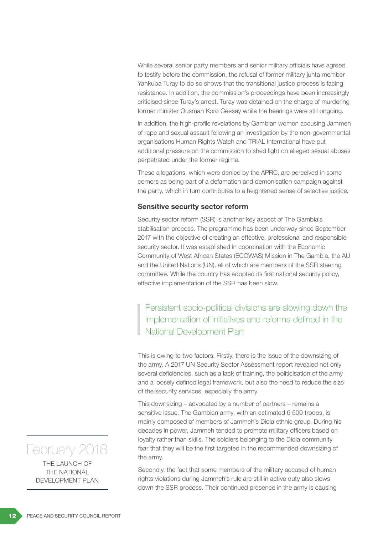While several senior party members and senior military officials have agreed to testify before the commission, the refusal of former military junta member Yankuba Turay to do so shows that the transitional justice process is facing resistance. In addition, the commission's proceedings have been increasingly criticised since Turay's arrest. Turay was detained on the charge of murdering former minister Ousman Koro Ceesay while the hearings were still ongoing.

In addition, the high-profile revelations by Gambian women accusing Jammeh of rape and sexual assault following an investigation by the non-governmental organisations Human Rights Watch and TRIAL International have put additional pressure on the commission to shed light on alleged sexual abuses perpetrated under the former regime.

These allegations, which were denied by the APRC, are perceived in some corners as being part of a defamation and demonisation campaign against the party, which in turn contributes to a heightened sense of selective justice.

### Sensitive security sector reform

Security sector reform (SSR) is another key aspect of The Gambia's stabilisation process. The programme has been underway since September 2017 with the objective of creating an effective, professional and responsible security sector. It was established in coordination with the Economic Community of West African States (ECOWAS) Mission in The Gambia, the AU and the United Nations (UN), all of which are members of the SSR steering committee. While the country has adopted its first national security policy, effective implementation of the SSR has been slow.

Persistent socio-political divisions are slowing down the implementation of initiatives and reforms defined in the National Development Plan

This is owing to two factors. Firstly, there is the issue of the downsizing of the army. A 2017 UN Security Sector Assessment report revealed not only several deficiencies, such as a lack of training, the politicisation of the army and a loosely defined legal framework, but also the need to reduce the size of the security services, especially the army.

This downsizing – advocated by a number of partners – remains a sensitive issue. The Gambian army, with an estimated 6 500 troops, is mainly composed of members of Jammeh's Diola ethnic group. During his decades in power, Jammeh tended to promote military officers based on loyalty rather than skills. The soldiers belonging to the Diola community fear that they will be the first targeted in the recommended downsizing of the army.

Secondly, the fact that some members of the military accused of human rights violations during Jammeh's rule are still in active duty also slows down the SSR process. Their continued presence in the army is causing

# February 2018

THE LAUNCH OF THE NATIONAL DEVELOPMENT PLAN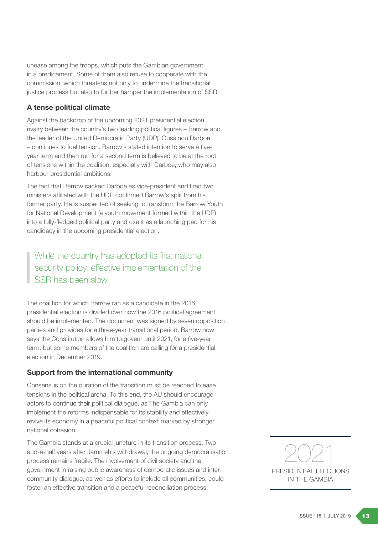unease among the troops, which puts the Gambian government in a predicament. Some of them also refuse to cooperate with the commission, which threatens not only to undermine the transitional justice process but also to further hamper the implementation of SSR.

## A tense political climate

Against the backdrop of the upcoming 2021 presidential election, rivalry between the country's two leading political figures – Barrow and the leader of the United Democratic Party (UDP), Ousainou Darboe – continues to fuel tension. Barrow's stated intention to serve a fiveyear term and then run for a second term is believed to be at the root of tensions within the coalition, especially with Darboe, who may also harbour presidential ambitions.

The fact that Barrow sacked Darboe as vice-president and fired two ministers affiliated with the UDP confirmed Barrow's split from his former party. He is suspected of seeking to transform the Barrow Youth for National Development (a youth movement formed within the UDP) into a fully-fledged political party and use it as a launching pad for his candidacy in the upcoming presidential election.

While the country has adopted its first national security policy, effective implementation of the SSR has been slow

The coalition for which Barrow ran as a candidate in the 2016 presidential election is divided over how the 2016 political agreement should be implemented. The document was signed by seven opposition parties and provides for a three-year transitional period. Barrow now says the Constitution allows him to govern until 2021, for a five-year term, but some members of the coalition are calling for a presidential election in December 2019.

### Support from the international community

Consensus on the duration of the transition must be reached to ease tensions in the political arena. To this end, the AU should encourage actors to continue their political dialogue, as The Gambia can only implement the reforms indispensable for its stability and effectively revive its economy in a peaceful political context marked by stronger national cohesion.

The Gambia stands at a crucial juncture in its transition process. Twoand-a-half years after Jammeh's withdrawal, the ongoing democratisation process remains fragile. The involvement of civil society and the government in raising public awareness of democratic issues and intercommunity dialogue, as well as efforts to include all communities, could foster an effective transition and a peaceful reconciliation process.



PRESIDENTIAL ELECTIONS IN THE GAMBIA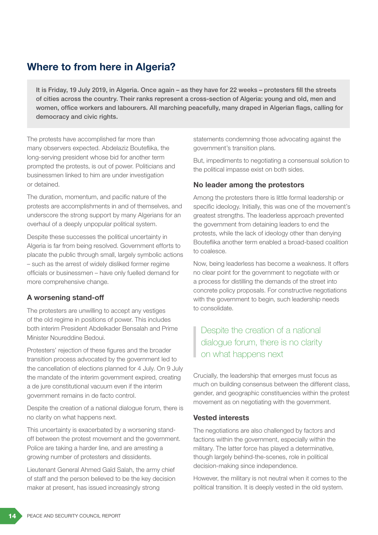# Where to from here in Algeria?

It is Friday, 19 July 2019, in Algeria. Once again – as they have for 22 weeks – protesters fill the streets of cities across the country. Their ranks represent a cross-section of Algeria: young and old, men and women, office workers and labourers. All marching peacefully, many draped in Algerian flags, calling for democracy and civic rights.

The protests have accomplished far more than many observers expected. Abdelaziz Bouteflika, the long-serving president whose bid for another term prompted the protests, is out of power. Politicians and businessmen linked to him are under investigation or detained.

The duration, momentum, and pacific nature of the protests are accomplishments in and of themselves, and underscore the strong support by many Algerians for an overhaul of a deeply unpopular political system.

Despite these successes the political uncertainty in Algeria is far from being resolved. Government efforts to placate the public through small, largely symbolic actions – such as the arrest of widely disliked former regime officials or businessmen – have only fuelled demand for more comprehensive change.

# A worsening stand-off

The protesters are unwilling to accept any vestiges of the old regime in positions of power. This includes both interim President Abdelkader Bensalah and Prime Minister Noureddine Bedoui.

Protesters' rejection of these figures and the broader transition process advocated by the government led to the cancellation of elections planned for 4 July. On 9 July the mandate of the interim government expired, creating a de jure constitutional vacuum even if the interim government remains in de facto control.

Despite the creation of a national dialogue forum, there is no clarity on what happens next.

This uncertainty is exacerbated by a worsening standoff between the protest movement and the government. Police are taking a harder line, and are arresting a growing number of protesters and dissidents.

Lieutenant General Ahmed Gaïd Salah, the army chief of staff and the person believed to be the key decision maker at present, has issued increasingly strong

statements condemning those advocating against the government's transition plans.

But, impediments to negotiating a consensual solution to the political impasse exist on both sides.

# No leader among the protestors

Among the protesters there is little formal leadership or specific ideology. Initially, this was one of the movement's greatest strengths. The leaderless approach prevented the government from detaining leaders to end the protests, while the lack of ideology other than denying Bouteflika another term enabled a broad-based coalition to coalesce.

Now, being leaderless has become a weakness. It offers no clear point for the government to negotiate with or a process for distilling the demands of the street into concrete policy proposals. For constructive negotiations with the government to begin, such leadership needs to consolidate.

# Despite the creation of a national dialogue forum, there is no clarity on what happens next

Crucially, the leadership that emerges must focus as much on building consensus between the different class, gender, and geographic constituencies within the protest movement as on negotiating with the government.

# Vested interests

The negotiations are also challenged by factors and factions within the government, especially within the military. The latter force has played a determinative, though largely behind-the-scenes, role in political decision-making since independence.

However, the military is not neutral when it comes to the political transition. It is deeply vested in the old system.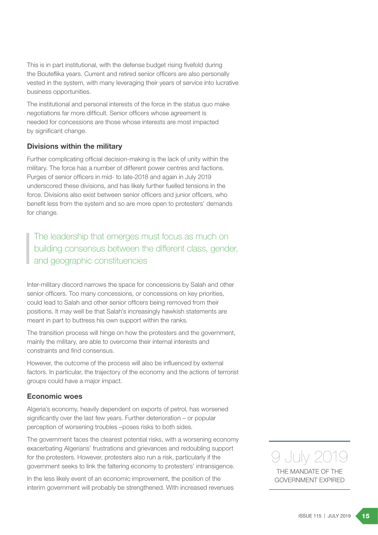This is in part institutional, with the defense budget rising fivefold during the Bouteflika years. Current and retired senior officers are also personally vested in the system, with many leveraging their years of service into lucrative business opportunities.

The institutional and personal interests of the force in the status quo make negotiations far more difficult. Senior officers whose agreement is needed for concessions are those whose interests are most impacted by significant change.

### Divisions within the military

Further complicating official decision-making is the lack of unity within the military. The force has a number of different power centres and factions. Purges of senior officers in mid- to late-2018 and again in July 2019 underscored these divisions, and has likely further fuelled tensions in the force. Divisions also exist between senior officers and junior officers, who benefit less from the system and so are more open to protesters' demands for change.

The leadership that emerges must focus as much on building consensus between the different class, gender, and geographic constituencies

Inter-military discord narrows the space for concessions by Salah and other senior officers. Too many concessions, or concessions on key priorities, could lead to Salah and other senior officers being removed from their positions. It may well be that Salah's increasingly hawkish statements are meant in part to buttress his own support within the ranks.

The transition process will hinge on how the protesters and the government, mainly the military, are able to overcome their internal interests and constraints and find consensus.

However, the outcome of the process will also be influenced by external factors. In particular, the trajectory of the economy and the actions of terrorist groups could have a major impact.

### Economic woes

Algeria's economy, heavily dependent on exports of petrol, has worsened significantly over the last few years. Further deterioration – or popular perception of worsening troubles –poses risks to both sides.

The government faces the clearest potential risks, with a worsening economy exacerbating Algerians' frustrations and grievances and redoubling support for the protesters. However, protesters also run a risk, particularly if the government seeks to link the faltering economy to protesters' intransigence.

In the less likely event of an economic improvement, the position of the interim government will probably be strengthened. With increased revenues

THE MANDATE OF THE GOVERNMENT EXPIRED 9 July 20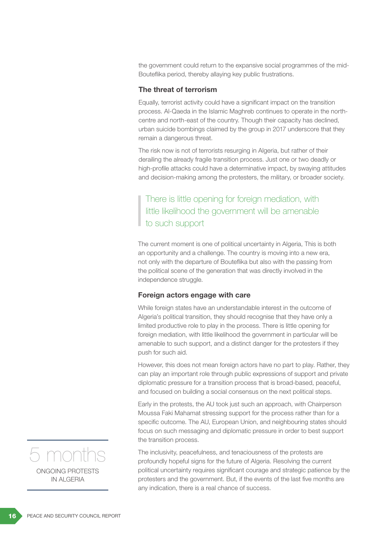the government could return to the expansive social programmes of the mid-Bouteflika period, thereby allaying key public frustrations.

### The threat of terrorism

Equally, terrorist activity could have a significant impact on the transition process. Al-Qaeda in the Islamic Maghreb continues to operate in the northcentre and north-east of the country. Though their capacity has declined, urban suicide bombings claimed by the group in 2017 underscore that they remain a dangerous threat.

The risk now is not of terrorists resurging in Algeria, but rather of their derailing the already fragile transition process. Just one or two deadly or high-profile attacks could have a determinative impact, by swaying attitudes and decision-making among the protesters, the military, or broader society.

There is little opening for foreign mediation, with little likelihood the government will be amenable to such support

The current moment is one of political uncertainty in Algeria, This is both an opportunity and a challenge. The country is moving into a new era, not only with the departure of Bouteflika but also with the passing from the political scene of the generation that was directly involved in the independence struggle.

### Foreign actors engage with care

While foreign states have an understandable interest in the outcome of Algeria's political transition, they should recognise that they have only a limited productive role to play in the process. There is little opening for foreign mediation, with little likelihood the government in particular will be amenable to such support, and a distinct danger for the protesters if they push for such aid.

However, this does not mean foreign actors have no part to play. Rather, they can play an important role through public expressions of support and private diplomatic pressure for a transition process that is broad-based, peaceful, and focused on building a social consensus on the next political steps.

Early in the protests, the AU took just such an approach, with Chairperson Moussa Faki Mahamat stressing support for the process rather than for a specific outcome. The AU, European Union, and neighbouring states should focus on such messaging and diplomatic pressure in order to best support the transition process.

The inclusivity, peacefulness, and tenaciousness of the protests are profoundly hopeful signs for the future of Algeria. Resolving the current political uncertainty requires significant courage and strategic patience by the protesters and the government. But, if the events of the last five months are any indication, there is a real chance of success.

ONGOING PROTESTS IN ALGERIA 5 months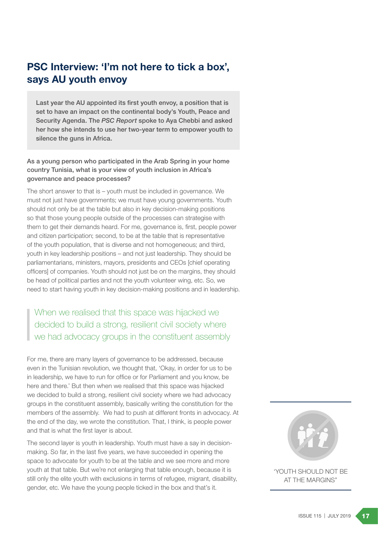# PSC Interview: 'I'm not here to tick a box', says AU youth envoy

Last year the AU appointed its first youth envoy, a position that is set to have an impact on the continental body's Youth, Peace and Security Agenda. The *PSC Report* spoke to Aya Chebbi and asked her how she intends to use her two-year term to empower youth to silence the guns in Africa.

### As a young person who participated in the Arab Spring in your home country Tunisia, what is your view of youth inclusion in Africa's governance and peace processes?

The short answer to that is – youth must be included in governance. We must not just have governments; we must have young governments. Youth should not only be at the table but also in key decision-making positions so that those young people outside of the processes can strategise with them to get their demands heard. For me, governance is, first, people power and citizen participation; second, to be at the table that is representative of the youth population, that is diverse and not homogeneous; and third, youth in key leadership positions – and not just leadership. They should be parliamentarians, ministers, mayors, presidents and CEOs [chief operating officers] of companies. Youth should not just be on the margins, they should be head of political parties and not the youth volunteer wing, etc. So, we need to start having youth in key decision-making positions and in leadership.

# When we realised that this space was hijacked we decided to build a strong, resilient civil society where we had advocacy groups in the constituent assembly

For me, there are many layers of governance to be addressed, because even in the Tunisian revolution, we thought that, 'Okay, in order for us to be in leadership, we have to run for office or for Parliament and you know, be here and there.' But then when we realised that this space was hijacked we decided to build a strong, resilient civil society where we had advocacy groups in the constituent assembly, basically writing the constitution for the members of the assembly. We had to push at different fronts in advocacy. At the end of the day, we wrote the constitution. That, I think, is people power and that is what the first layer is about.

The second layer is youth in leadership. Youth must have a say in decisionmaking. So far, in the last five years, we have succeeded in opening the space to advocate for youth to be at the table and we see more and more youth at that table. But we're not enlarging that table enough, because it is still only the elite youth with exclusions in terms of refugee, migrant, disability, gender, etc. We have the young people ticked in the box and that's it.



'YOUTH SHOULD NOT BE AT THE MARGINS"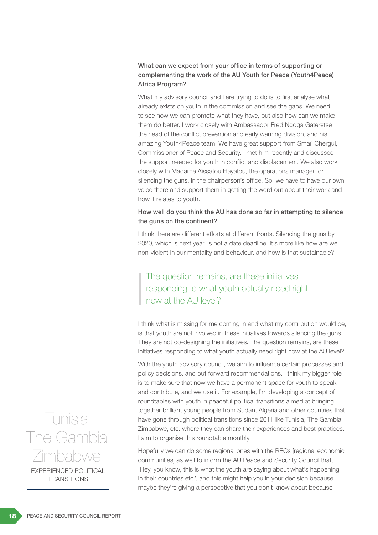## What can we expect from your office in terms of supporting or complementing the work of the AU Youth for Peace (Youth4Peace) Africa Program?

What my advisory council and I are trying to do is to first analyse what already exists on youth in the commission and see the gaps. We need to see how we can promote what they have, but also how can we make them do better. I work closely with Ambassador Fred Ngoga Gateretse the head of the conflict prevention and early warning division, and his amazing Youth4Peace team. We have great support from Smaïl Chergui, Commissioner of Peace and Security. I met him recently and discussed the support needed for youth in conflict and displacement. We also work closely with Madame Aïssatou Hayatou, the operations manager for silencing the guns, in the chairperson's office. So, we have to have our own voice there and support them in getting the word out about their work and how it relates to youth.

### How well do you think the AU has done so far in attempting to silence the guns on the continent?

I think there are different efforts at different fronts. Silencing the guns by 2020, which is next year, is not a date deadline. It's more like how are we non-violent in our mentality and behaviour, and how is that sustainable?

# The question remains, are these initiatives responding to what youth actually need right now at the AU level?

I think what is missing for me coming in and what my contribution would be, is that youth are not involved in these initiatives towards silencing the guns. They are not co-designing the initiatives. The question remains, are these initiatives responding to what youth actually need right now at the AU level?

With the youth advisory council, we aim to influence certain processes and policy decisions, and put forward recommendations. I think my bigger role is to make sure that now we have a permanent space for youth to speak and contribute, and we use it. For example, I'm developing a concept of roundtables with youth in peaceful political transitions aimed at bringing together brilliant young people from Sudan, Algeria and other countries that have gone through political transitions since 2011 like Tunisia, The Gambia, Zimbabwe, etc. where they can share their experiences and best practices. I aim to organise this roundtable monthly.

Hopefully we can do some regional ones with the RECs [regional economic communities] as well to inform the AU Peace and Security Council that, 'Hey, you know, this is what the youth are saying about what's happening in their countries etc.', and this might help you in your decision because maybe they're giving a perspective that you don't know about because

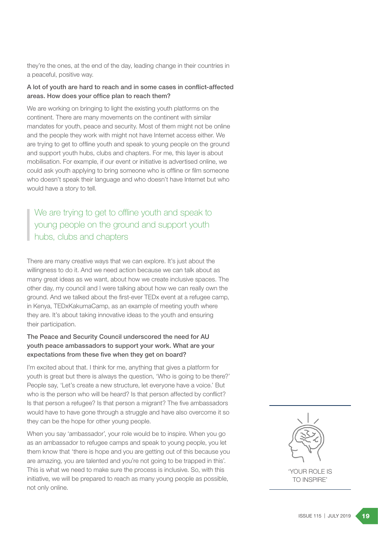they're the ones, at the end of the day, leading change in their countries in a peaceful, positive way.

### A lot of youth are hard to reach and in some cases in conflict-affected areas. How does your office plan to reach them?

We are working on bringing to light the existing youth platforms on the continent. There are many movements on the continent with similar mandates for youth, peace and security. Most of them might not be online and the people they work with might not have Internet access either. We are trying to get to offline youth and speak to young people on the ground and support youth hubs, clubs and chapters. For me, this layer is about mobilisation. For example, if our event or initiative is advertised online, we could ask youth applying to bring someone who is offline or film someone who doesn't speak their language and who doesn't have Internet but who would have a story to tell.

We are trying to get to offline youth and speak to young people on the ground and support youth hubs, clubs and chapters

There are many creative ways that we can explore. It's just about the willingness to do it. And we need action because we can talk about as many great ideas as we want, about how we create inclusive spaces. The other day, my council and I were talking about how we can really own the ground. And we talked about the first-ever TEDx event at a refugee camp, in Kenya, TEDxKakumaCamp, as an example of meeting youth where they are. It's about taking innovative ideas to the youth and ensuring their participation.

### The Peace and Security Council underscored the need for AU youth peace ambassadors to support your work. What are your expectations from these five when they get on board?

I'm excited about that. I think for me, anything that gives a platform for youth is great but there is always the question, 'Who is going to be there?' People say, 'Let's create a new structure, let everyone have a voice.' But who is the person who will be heard? Is that person affected by conflict? Is that person a refugee? Is that person a migrant? The five ambassadors would have to have gone through a struggle and have also overcome it so they can be the hope for other young people.

When you say 'ambassador', your role would be to inspire. When you go as an ambassador to refugee camps and speak to young people, you let them know that 'there is hope and you are getting out of this because you are amazing, you are talented and you're not going to be trapped in this'. This is what we need to make sure the process is inclusive. So, with this initiative, we will be prepared to reach as many young people as possible, not only online.